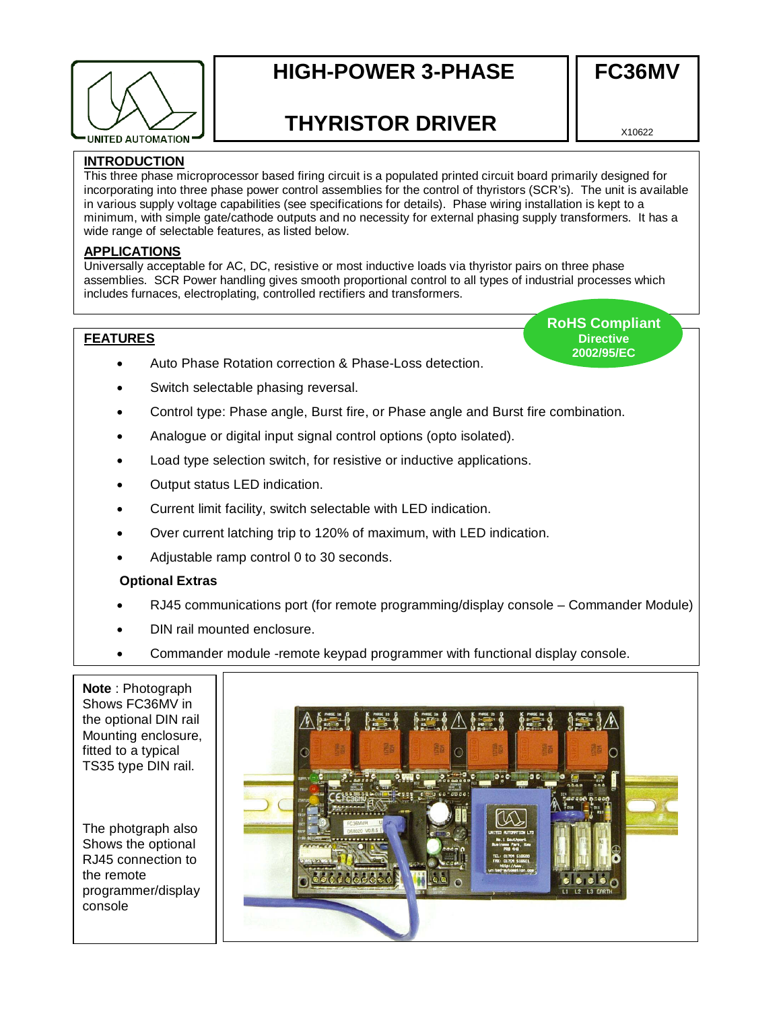

# **HIGH-POWER 3-PHASE**

## **THYRISTOR DRIVER**

X10622

**FC36MV** 

## **INTRODUCTION**

This three phase microprocessor based firing circuit is a populated printed circuit board primarily designed for incorporating into three phase power control assemblies for the control of thyristors (SCR's). The unit is available in various supply voltage capabilities (see specifications for details). Phase wiring installation is kept to a minimum, with simple gate/cathode outputs and no necessity for external phasing supply transformers. It has a wide range of selectable features, as listed below.

## **APPLICATIONS**

Universally acceptable for AC, DC, resistive or most inductive loads via thyristor pairs on three phase assemblies. SCR Power handling gives smooth proportional control to all types of industrial processes which includes furnaces, electroplating, controlled rectifiers and transformers.

## **FEATURES**

- Auto Phase Rotation correction & Phase-Loss detection.
- Switch selectable phasing reversal.
- Control type: Phase angle, Burst fire, or Phase angle and Burst fire combination.
- Analogue or digital input signal control options (opto isolated).
- Load type selection switch, for resistive or inductive applications.
- Output status LED indication.
- Current limit facility, switch selectable with LED indication.
- Over current latching trip to 120% of maximum, with LED indication.
- Adjustable ramp control 0 to 30 seconds.

#### **Optional Extras**

- RJ45 communications port (for remote programming/display console Commander Module)
- DIN rail mounted enclosure.
- Commander module -remote keypad programmer with functional display console.

**Note** : Photograph Shows FC36MV in the optional DIN rail Mounting enclosure, fitted to a typical TS35 type DIN rail.

The photgraph also Shows the optional RJ45 connection to the remote programmer/display console



**RoHS Compliant Directive 2002/95/EC**